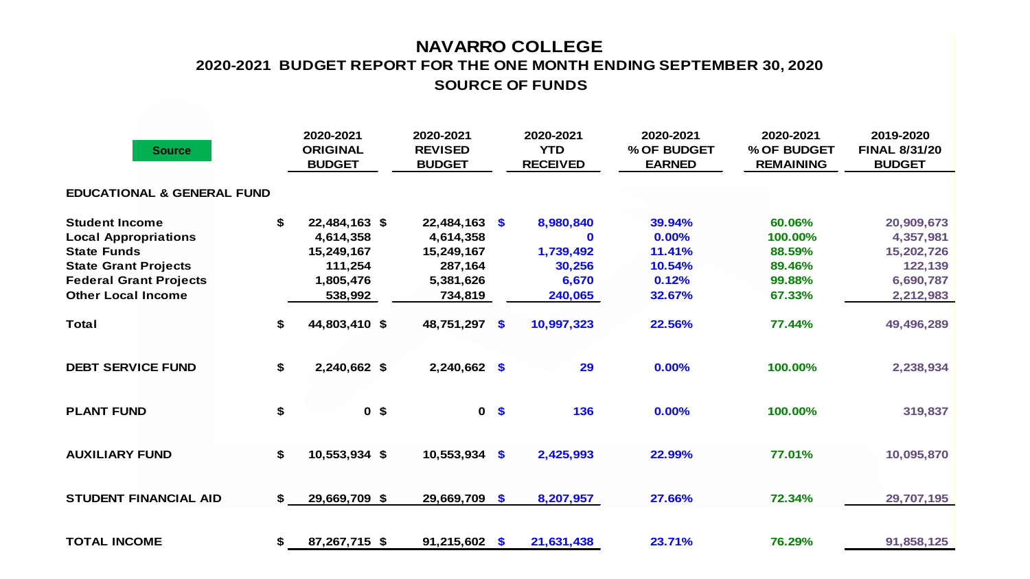## **NAVARRO COLLEGE 2020-2021 BUDGET REPORT FOR THE ONE MONTH ENDING SEPTEMBER 30, 2020 SOURCE OF FUNDS**

| <b>Source</b>                         | 2020-2021<br><b>ORIGINAL</b><br><b>BUDGET</b> | 2020-2021<br><b>REVISED</b><br><b>BUDGET</b> |                | 2020-2021<br><b>YTD</b><br><b>RECEIVED</b> | 2020-2021<br>% OF BUDGET<br><b>EARNED</b> | 2020-2021<br>% OF BUDGET<br><b>REMAINING</b> | 2019-2020<br><b>FINAL 8/31/20</b><br><b>BUDGET</b> |
|---------------------------------------|-----------------------------------------------|----------------------------------------------|----------------|--------------------------------------------|-------------------------------------------|----------------------------------------------|----------------------------------------------------|
| <b>EDUCATIONAL &amp; GENERAL FUND</b> |                                               |                                              |                |                                            |                                           |                                              |                                                    |
| <b>Student Income</b>                 | \$<br>22,484,163 \$                           | $22,484,163$ \$                              |                | 8,980,840                                  | 39.94%                                    | 60.06%                                       | 20,909,673                                         |
| <b>Local Appropriations</b>           | 4,614,358                                     | 4,614,358                                    |                | $\bf{0}$                                   | 0.00%                                     | 100.00%                                      | 4,357,981                                          |
| <b>State Funds</b>                    | 15,249,167                                    | 15,249,167                                   |                | 1,739,492                                  | 11.41%                                    | 88.59%                                       | 15,202,726                                         |
| <b>State Grant Projects</b>           | 111,254                                       | 287,164                                      |                | 30,256                                     | 10.54%                                    | 89.46%                                       | 122,139                                            |
| <b>Federal Grant Projects</b>         | 1,805,476                                     | 5,381,626                                    |                | 6,670                                      | 0.12%                                     | 99.88%                                       | 6,690,787                                          |
| <b>Other Local Income</b>             | 538,992                                       | 734,819                                      |                | 240,065                                    | 32.67%                                    | 67.33%                                       | 2,212,983                                          |
| <b>Total</b>                          | \$<br>44,803,410 \$                           | 48,751,297 \$                                |                | 10,997,323                                 | 22.56%                                    | 77.44%                                       | 49,496,289                                         |
| <b>DEBT SERVICE FUND</b>              | \$<br>2,240,662 \$                            | $2,240,662$ \$                               |                | 29                                         | 0.00%                                     | 100.00%                                      | 2,238,934                                          |
| <b>PLANT FUND</b>                     | \$<br>0 <sup>5</sup>                          |                                              | 0 <sup>5</sup> | 136                                        | 0.00%                                     | 100.00%                                      | 319,837                                            |
| <b>AUXILIARY FUND</b>                 | \$<br>10,553,934 \$                           | $10,553,934$ \$                              |                | 2,425,993                                  | 22.99%                                    | 77.01%                                       | 10,095,870                                         |
| <b>STUDENT FINANCIAL AID</b>          | \$<br>29,669,709 \$                           | 29,669,709 \$                                |                | 8,207,957                                  | 27.66%                                    | 72.34%                                       | 29,707,195                                         |
| <b>TOTAL INCOME</b>                   | \$<br>87,267,715 \$                           | $91,215,602$ \$                              |                | 21,631,438                                 | 23.71%                                    | 76.29%                                       | 91,858,125                                         |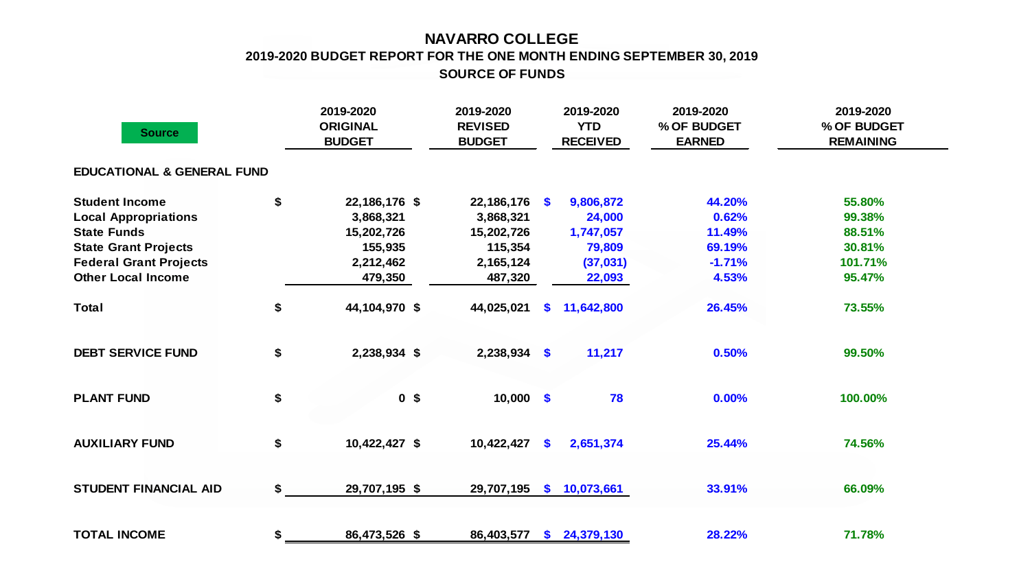## **NAVARRO COLLEGE 2019-2020 BUDGET REPORT FOR THE ONE MONTH ENDING SEPTEMBER 30, 2019 SOURCE OF FUNDS**

| <b>Source</b>                         | 2019-2020<br><b>ORIGINAL</b><br><b>BUDGET</b> | 2019-2020<br><b>REVISED</b><br><b>BUDGET</b> |          | 2019-2020<br><b>YTD</b><br><b>RECEIVED</b> | 2019-2020<br>% OF BUDGET<br><b>EARNED</b> | 2019-2020<br>% OF BUDGET<br><b>REMAINING</b> |
|---------------------------------------|-----------------------------------------------|----------------------------------------------|----------|--------------------------------------------|-------------------------------------------|----------------------------------------------|
| <b>EDUCATIONAL &amp; GENERAL FUND</b> |                                               |                                              |          |                                            |                                           |                                              |
| <b>Student Income</b>                 | \$<br>22,186,176 \$                           | 22,186,176 \$                                |          | 9,806,872                                  | 44.20%                                    | 55.80%                                       |
| <b>Local Appropriations</b>           | 3,868,321                                     | 3,868,321                                    |          | 24,000                                     | 0.62%                                     | 99.38%                                       |
| <b>State Funds</b>                    | 15,202,726                                    | 15,202,726                                   |          | 1,747,057                                  | 11.49%                                    | 88.51%                                       |
| <b>State Grant Projects</b>           | 155,935                                       | 115,354                                      |          | 79,809                                     | 69.19%                                    | 30.81%                                       |
| <b>Federal Grant Projects</b>         | 2,212,462                                     | 2,165,124                                    |          | (37,031)                                   | $-1.71%$                                  | 101.71%                                      |
| <b>Other Local Income</b>             | 479,350                                       | 487,320                                      |          | 22,093                                     | 4.53%                                     | 95.47%                                       |
| <b>Total</b>                          | \$<br>44,104,970 \$                           | 44,025,021                                   | <b>S</b> | 11,642,800                                 | 26.45%                                    | 73.55%                                       |
| <b>DEBT SERVICE FUND</b>              | \$<br>2,238,934 \$                            | $2,238,934$ \$                               |          | 11,217                                     | 0.50%                                     | 99.50%                                       |
| <b>PLANT FUND</b>                     | \$<br>0 <sup>5</sup>                          | $10,000$ \$                                  |          | 78                                         | 0.00%                                     | 100.00%                                      |
| <b>AUXILIARY FUND</b>                 | \$<br>10,422,427 \$                           | 10,422,427                                   | \$       | 2,651,374                                  | 25.44%                                    | 74.56%                                       |
| <b>STUDENT FINANCIAL AID</b>          | \$<br>29,707,195 \$                           | 29,707,195                                   | \$       | 10,073,661                                 | 33.91%                                    | 66.09%                                       |
| <b>TOTAL INCOME</b>                   | \$<br>86,473,526 \$                           | 86,403,577                                   | <b>S</b> | 24,379,130                                 | 28.22%                                    | 71.78%                                       |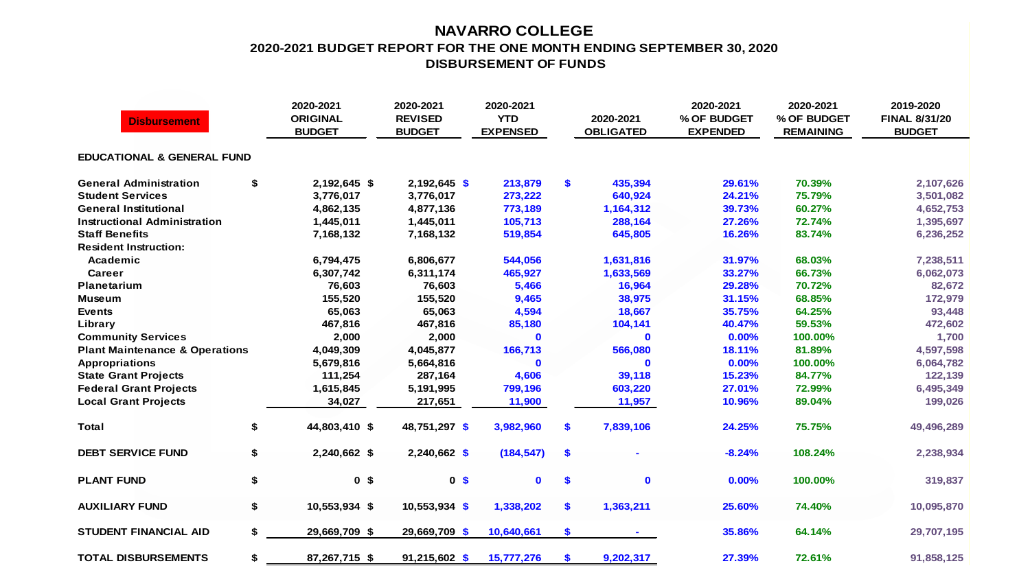## **NAVARRO COLLEGE 2020-2021 BUDGET REPORT FOR THE ONE MONTH ENDING SEPTEMBER 30, 2020 DISBURSEMENT OF FUNDS**

| <b>Disbursement</b>                       |    | 2020-2021<br><b>ORIGINAL</b><br><b>BUDGET</b> | 2020-2021<br><b>REVISED</b><br><b>BUDGET</b> | 2020-2021<br><b>YTD</b><br><b>EXPENSED</b> |     | 2020-2021<br><b>OBLIGATED</b> | 2020-2021<br>% OF BUDGET<br><b>EXPENDED</b> | 2020-2021<br>% OF BUDGET<br><b>REMAINING</b> | 2019-2020<br><b>FINAL 8/31/20</b><br><b>BUDGET</b> |  |  |  |  |
|-------------------------------------------|----|-----------------------------------------------|----------------------------------------------|--------------------------------------------|-----|-------------------------------|---------------------------------------------|----------------------------------------------|----------------------------------------------------|--|--|--|--|
| <b>EDUCATIONAL &amp; GENERAL FUND</b>     |    |                                               |                                              |                                            |     |                               |                                             |                                              |                                                    |  |  |  |  |
| <b>General Administration</b>             | \$ | 2,192,645 \$                                  | $2,192,645$ \$                               | 213,879                                    | \$  | 435,394                       | 29.61%                                      | 70.39%                                       | 2,107,626                                          |  |  |  |  |
| <b>Student Services</b>                   |    | 3,776,017                                     | 3,776,017                                    | 273,222                                    |     | 640,924                       | 24.21%                                      | 75.79%                                       | 3,501,082                                          |  |  |  |  |
| <b>General Institutional</b>              |    | 4,862,135                                     | 4,877,136                                    | 773,189                                    |     | 1,164,312                     | 39.73%                                      | 60.27%                                       | 4,652,753                                          |  |  |  |  |
| Instructional Administration              |    | 1,445,011                                     | 1,445,011                                    | 105,713                                    |     | 288,164                       | 27.26%                                      | 72.74%                                       | 1,395,697                                          |  |  |  |  |
| <b>Staff Benefits</b>                     |    | 7,168,132                                     | 7,168,132                                    | 519,854                                    |     | 645,805                       | 16.26%                                      | 83.74%                                       | 6,236,252                                          |  |  |  |  |
| <b>Resident Instruction:</b>              |    |                                               |                                              |                                            |     |                               |                                             |                                              |                                                    |  |  |  |  |
| Academic                                  |    | 6,794,475                                     | 6,806,677                                    | 544,056                                    |     | 1,631,816                     | 31.97%                                      | 68.03%                                       | 7,238,511                                          |  |  |  |  |
| <b>Career</b>                             |    | 6,307,742                                     | 6,311,174                                    | 465,927                                    |     | 1,633,569                     | 33.27%                                      | 66.73%                                       | 6,062,073                                          |  |  |  |  |
| Planetarium                               |    | 76,603                                        | 76,603                                       | 5,466                                      |     | 16,964                        | 29.28%                                      | 70.72%                                       | 82,672                                             |  |  |  |  |
| <b>Museum</b>                             |    | 155,520                                       | 155,520                                      | 9,465                                      |     | 38,975                        | 31.15%                                      | 68.85%                                       | 172,979                                            |  |  |  |  |
| <b>Events</b>                             |    | 65,063                                        | 65,063                                       | 4,594                                      |     | 18,667                        | 35.75%                                      | 64.25%                                       | 93,448                                             |  |  |  |  |
| Library                                   |    | 467,816                                       | 467,816                                      | 85,180                                     |     | 104,141                       | 40.47%                                      | 59.53%                                       | 472,602                                            |  |  |  |  |
| <b>Community Services</b>                 |    | 2,000                                         | 2,000                                        | $\mathbf 0$                                |     | $\mathbf{0}$                  | 0.00%                                       | 100.00%                                      | 1,700                                              |  |  |  |  |
| <b>Plant Maintenance &amp; Operations</b> |    | 4,049,309                                     | 4,045,877                                    | 166,713                                    |     | 566,080                       | 18.11%                                      | 81.89%                                       | 4,597,598                                          |  |  |  |  |
| <b>Appropriations</b>                     |    | 5,679,816                                     | 5,664,816                                    | $\bf{0}$                                   |     | $\mathbf{0}$                  | 0.00%                                       | 100.00%                                      | 6,064,782                                          |  |  |  |  |
| <b>State Grant Projects</b>               |    | 111,254                                       | 287,164                                      | 4,606                                      |     | 39,118                        | 15.23%                                      | 84.77%                                       | 122,139                                            |  |  |  |  |
| <b>Federal Grant Projects</b>             |    | 1,615,845                                     | 5,191,995                                    | 799,196                                    |     | 603,220                       | 27.01%                                      | 72.99%                                       | 6,495,349                                          |  |  |  |  |
| <b>Local Grant Projects</b>               |    | 34,027                                        | 217,651                                      | 11,900                                     |     | 11,957                        | 10.96%                                      | 89.04%                                       | 199,026                                            |  |  |  |  |
| <b>Total</b>                              | \$ | 44,803,410 \$                                 | 48,751,297 \$                                | 3,982,960                                  | \$. | 7,839,106                     | 24.25%                                      | 75.75%                                       | 49,496,289                                         |  |  |  |  |
| <b>DEBT SERVICE FUND</b>                  | \$ | 2,240,662 \$                                  | 2,240,662 \$                                 | (184, 547)                                 | \$  |                               | $-8.24%$                                    | 108.24%                                      | 2,238,934                                          |  |  |  |  |
| <b>PLANT FUND</b>                         | \$ | 0 <sup>5</sup>                                | 0 <sup>5</sup>                               | $\mathbf 0$                                | \$  | $\mathbf 0$                   | 0.00%                                       | 100.00%                                      | 319,837                                            |  |  |  |  |
| <b>AUXILIARY FUND</b>                     | \$ | 10,553,934 \$                                 | $10,553,934$ \$                              | 1,338,202                                  | \$  | 1,363,211                     | 25.60%                                      | 74.40%                                       | 10,095,870                                         |  |  |  |  |
| <b>STUDENT FINANCIAL AID</b>              | \$ | 29,669,709 \$                                 | 29,669,709 \$                                | 10,640,661                                 | \$  |                               | 35.86%                                      | 64.14%                                       | 29,707,195                                         |  |  |  |  |
| <b>TOTAL DISBURSEMENTS</b>                | \$ | 87,267,715 \$                                 | 91,215,602 \$                                | 15,777,276                                 | \$  | 9,202,317                     | 27.39%                                      | 72.61%                                       | 91,858,125                                         |  |  |  |  |